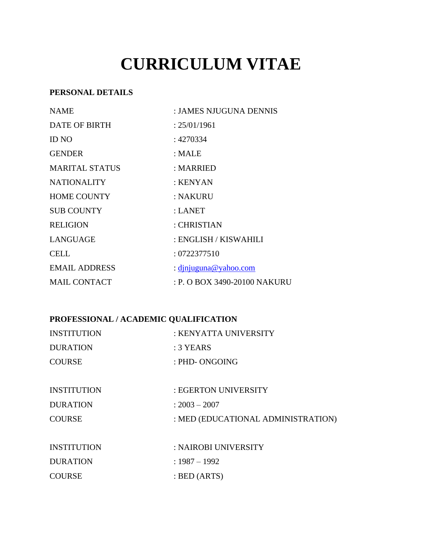# **CURRICULUM VITAE**

## **PERSONAL DETAILS**

| <b>NAME</b>           | : JAMES NJUGUNA DENNIS       |  |
|-----------------------|------------------------------|--|
| <b>DATE OF BIRTH</b>  | : 25/01/1961                 |  |
| <b>ID NO</b>          | : 4270334                    |  |
| <b>GENDER</b>         | : MALE                       |  |
| <b>MARITAL STATUS</b> | : MARRIED                    |  |
| <b>NATIONALITY</b>    | : KENYAN                     |  |
| <b>HOME COUNTY</b>    | : NAKURU                     |  |
| <b>SUB COUNTY</b>     | : <b>LANET</b>               |  |
| <b>RELIGION</b>       | : CHRISTIAN                  |  |
| LANGUAGE              | : ENGLISH / KISWAHILI        |  |
| <b>CELL</b>           | : 0722377510                 |  |
| <b>EMAIL ADDRESS</b>  | : dinjuguna@yahoo.com        |  |
| <b>MAIL CONTACT</b>   | : P. O BOX 3490-20100 NAKURU |  |

## **PROFESSIONAL / ACADEMIC QUALIFICATION**

| : KENYATTA UNIVERSITY |
|-----------------------|
| $:3$ YEARS            |
| : PHD- ONGOING        |
|                       |
|                       |

| <b>INSTITUTION</b> | : EGERTON UNIVERSITY               |
|--------------------|------------------------------------|
| <b>DURATION</b>    | $: 2003 - 2007$                    |
| <b>COURSE</b>      | : MED (EDUCATIONAL ADMINISTRATION) |
|                    |                                    |

| <b>INSTITUTION</b> | : NAIROBI UNIVERSITY    |
|--------------------|-------------------------|
| <b>DURATION</b>    | : 1987 – 1992           |
| <b>COURSE</b>      | $\therefore$ BED (ARTS) |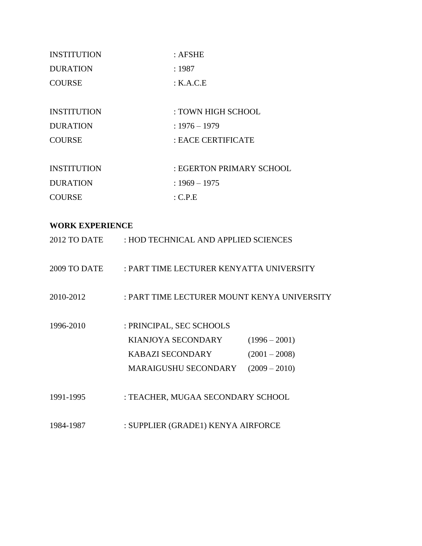| <b>INSTITUTION</b> | $:$ AFSHE                |  |
|--------------------|--------------------------|--|
| <b>DURATION</b>    | :1987                    |  |
| <b>COURSE</b>      | : K.A.C.E                |  |
|                    |                          |  |
| <b>INSTITUTION</b> | : TOWN HIGH SCHOOL       |  |
| <b>DURATION</b>    | $: 1976 - 1979$          |  |
| <b>COURSE</b>      | : EACE CERTIFICATE       |  |
|                    |                          |  |
| <b>INSTITUTION</b> | : EGERTON PRIMARY SCHOOL |  |
| <b>DURATION</b>    | $: 1969 - 1975$          |  |
| <b>COURSE</b>      | : C.P.E                  |  |

## **WORK EXPERIENCE**

| 2012 TO DATE | : HOD TECHNICAL AND APPLIED SCIENCES        |                 |  |
|--------------|---------------------------------------------|-----------------|--|
| 2009 TO DATE | : PART TIME LECTURER KENYATTA UNIVERSITY    |                 |  |
| 2010-2012    | : PART TIME LECTURER MOUNT KENYA UNIVERSITY |                 |  |
| 1996-2010    | : PRINCIPAL, SEC SCHOOLS                    |                 |  |
|              | KIANJOYA SECONDARY                          | $(1996 - 2001)$ |  |
|              | <b>KABAZI SECONDARY</b>                     | $(2001 - 2008)$ |  |
|              | <b>MARAIGUSHU SECONDARY</b>                 | $(2009 - 2010)$ |  |
| 1991-1995    | : TEACHER, MUGAA SECONDARY SCHOOL           |                 |  |
| 1984-1987    | : SUPPLIER (GRADE1) KENYA AIRFORCE          |                 |  |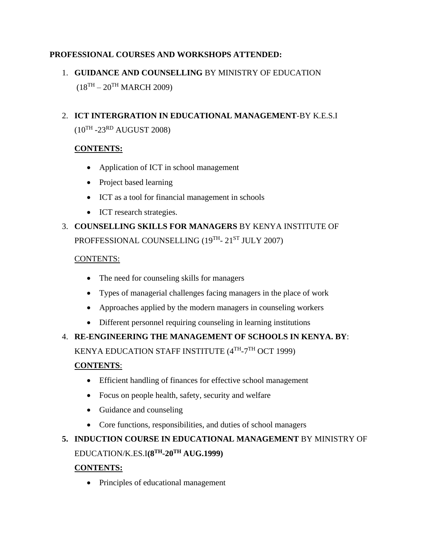## **PROFESSIONAL COURSES AND WORKSHOPS ATTENDED:**

## 1. **GUIDANCE AND COUNSELLING** BY MINISTRY OF EDUCATION  $(18^{TH} – 20^{TH}$  MARCH 2009)

## 2. **ICT INTERGRATION IN EDUCATIONAL MANAGEMENT**-BY K.E.S.I

 $(10^{TH}$  -23<sup>RD</sup> AUGUST 2008)

## **CONTENTS:**

- Application of ICT in school management
- Project based learning
- ICT as a tool for financial management in schools
- ICT research strategies.

# 3. **COUNSELLING SKILLS FOR MANAGERS** BY KENYA INSTITUTE OF PROFFESSIONAL COUNSELLING (19<sup>TH</sup>- 21<sup>ST</sup> JULY 2007)

#### CONTENTS:

- The need for counseling skills for managers
- Types of managerial challenges facing managers in the place of work
- Approaches applied by the modern managers in counseling workers
- Different personnel requiring counseling in learning institutions

## 4. **RE-ENGINEERING THE MANAGEMENT OF SCHOOLS IN KENYA. BY**:

KENYA EDUCATION STAFF INSTITUTE (4TH-7TH OCT 1999)

## **CONTENTS**:

- Efficient handling of finances for effective school management
- Focus on people health, safety, security and welfare
- Guidance and counseling
- Core functions, responsibilities, and duties of school managers

## **5. INDUCTION COURSE IN EDUCATIONAL MANAGEMENT** BY MINISTRY OF EDUCATION/K.ES.I**(8TH-20TH AUG.1999)**

## **CONTENTS:**

• Principles of educational management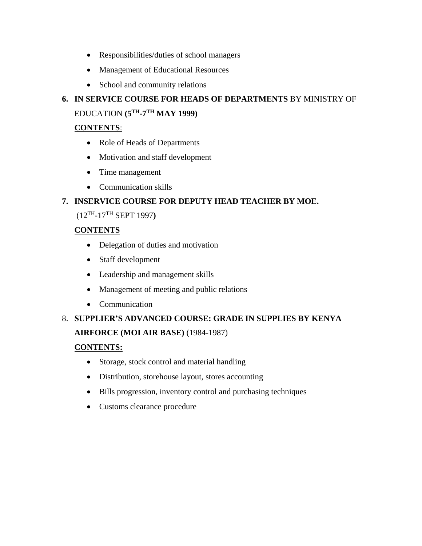- Responsibilities/duties of school managers
- Management of Educational Resources
- School and community relations

## **6. IN SERVICE COURSE FOR HEADS OF DEPARTMENTS** BY MINISTRY OF EDUCATION **(5TH-7 TH MAY 1999)**

## **CONTENTS**:

- Role of Heads of Departments
- Motivation and staff development
- Time management
- Communication skills

## **7. INSERVICE COURSE FOR DEPUTY HEAD TEACHER BY MOE.**

## (12TH -17TH SEPT 1997**)**

## **CONTENTS**

- Delegation of duties and motivation
- Staff development
- Leadership and management skills
- Management of meeting and public relations
- Communication

## 8. **SUPPLIER'S ADVANCED COURSE: GRADE IN SUPPLIES BY KENYA**

## **AIRFORCE (MOI AIR BASE)** (1984-1987)

## **CONTENTS:**

- Storage, stock control and material handling
- Distribution, storehouse layout, stores accounting
- Bills progression, inventory control and purchasing techniques
- Customs clearance procedure